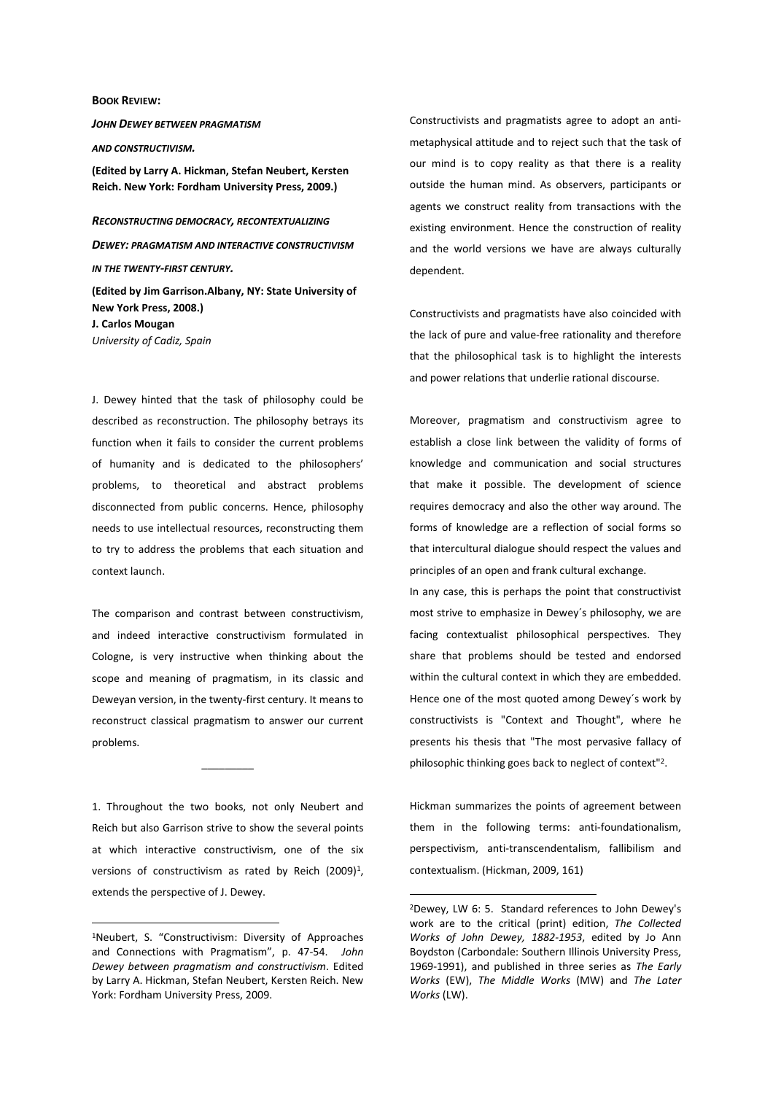## **BOOK REVIEW:**

*JOHN DEWEY BETWEEN PRAGMATISM AND CONSTRUCTIVISM.* **(Edited by Larry A. Hickman, Stefan Neubert, Kersten Reich. New York: Fordham University Press, 2009.)** 

*RECONSTRUCTING DEMOCRACY, RECONTEXTUALIZING DEWEY: PRAGMATISM AND INTERACTIVE CONSTRUCTIVISM IN THE TWENTY-FIRST CENTURY.* 

**(Edited by Jim Garrison.Albany, NY: State University of New York Press, 2008.) J. Carlos Mougan**  *University of Cadiz, Spain* 

J. Dewey hinted that the task of philosophy could be described as reconstruction. The philosophy betrays its function when it fails to consider the current problems of humanity and is dedicated to the philosophers' problems, to theoretical and abstract problems disconnected from public concerns. Hence, philosophy needs to use intellectual resources, reconstructing them to try to address the problems that each situation and context launch.

The comparison and contrast between constructivism, and indeed interactive constructivism formulated in Cologne, is very instructive when thinking about the scope and meaning of pragmatism, in its classic and Deweyan version, in the twenty-first century. It means to reconstruct classical pragmatism to answer our current problems.

1. Throughout the two books, not only Neubert and Reich but also Garrison strive to show the several points at which interactive constructivism, one of the six versions of constructivism as rated by Reich  $(2009)^1$ , extends the perspective of J. Dewey.

 $\frac{1}{2}$ 

 $\overline{a}$ 

Constructivists and pragmatists agree to adopt an antimetaphysical attitude and to reject such that the task of our mind is to copy reality as that there is a reality outside the human mind. As observers, participants or agents we construct reality from transactions with the existing environment. Hence the construction of reality and the world versions we have are always culturally dependent.

Constructivists and pragmatists have also coincided with the lack of pure and value-free rationality and therefore that the philosophical task is to highlight the interests and power relations that underlie rational discourse.

Moreover, pragmatism and constructivism agree to establish a close link between the validity of forms of knowledge and communication and social structures that make it possible. The development of science requires democracy and also the other way around. The forms of knowledge are a reflection of social forms so that intercultural dialogue should respect the values and principles of an open and frank cultural exchange.

In any case, this is perhaps the point that constructivist most strive to emphasize in Dewey´s philosophy, we are facing contextualist philosophical perspectives. They share that problems should be tested and endorsed within the cultural context in which they are embedded. Hence one of the most quoted among Dewey´s work by constructivists is "Context and Thought", where he presents his thesis that "The most pervasive fallacy of philosophic thinking goes back to neglect of context"<sup>2</sup>.

Hickman summarizes the points of agreement between them in the following terms: anti-foundationalism, perspectivism, anti-transcendentalism, fallibilism and contextualism. (Hickman, 2009, 161)

 $\overline{a}$ 

<sup>1</sup>Neubert, S. "Constructivism: Diversity of Approaches and Connections with Pragmatism", p. 47-54. *John Dewey between pragmatism and constructivism*. Edited by Larry A. Hickman, Stefan Neubert, Kersten Reich. New York: Fordham University Press, 2009.

<sup>2</sup>Dewey, LW 6: 5. Standard references to John Dewey's work are to the critical (print) edition, *The Collected Works of John Dewey, 1882-1953*, edited by Jo Ann Boydston (Carbondale: Southern Illinois University Press, 1969-1991), and published in three series as *The Early Works* (EW), *The Middle Works* (MW) and *The Later Works* (LW).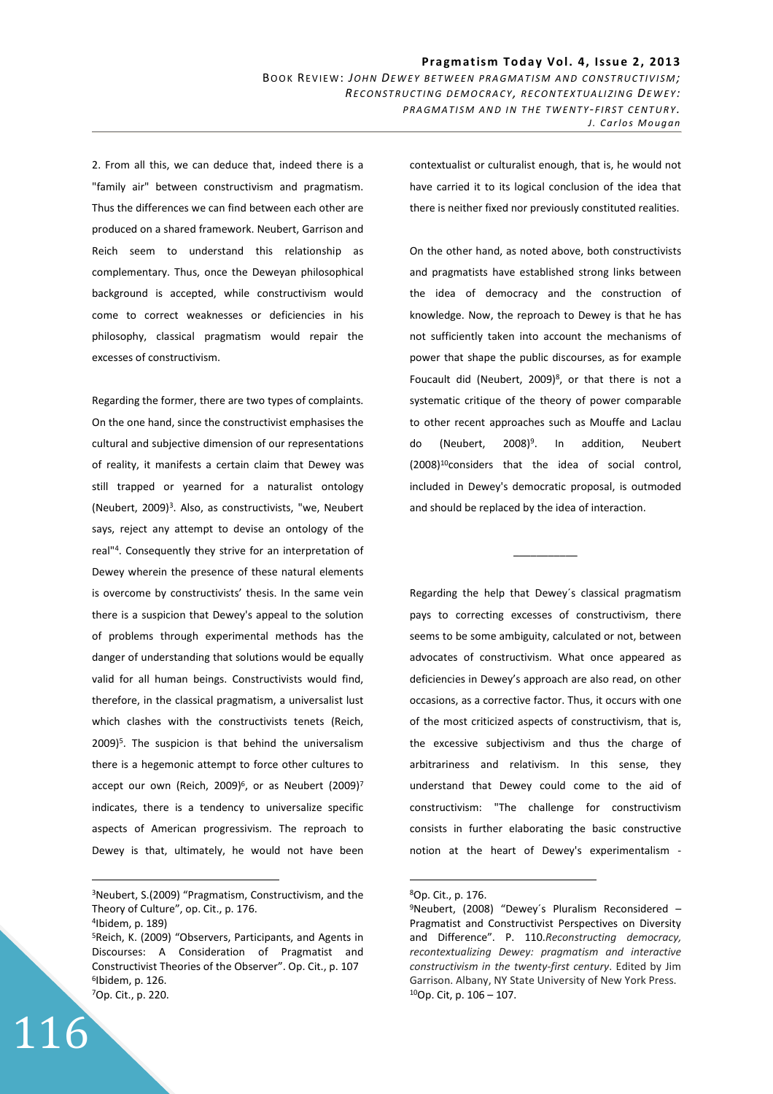2. From all this, we can deduce that, indeed there is a "family air" between constructivism and pragmatism. Thus the differences we can find between each other are produced on a shared framework. Neubert, Garrison and Reich seem to understand this relationship as complementary. Thus, once the Deweyan philosophical background is accepted, while constructivism would come to correct weaknesses or deficiencies in his philosophy, classical pragmatism would repair the excesses of constructivism.

Regarding the former, there are two types of complaints. On the one hand, since the constructivist emphasises the cultural and subjective dimension of our representations of reality, it manifests a certain claim that Dewey was still trapped or yearned for a naturalist ontology (Neubert, 2009)<sup>3</sup> . Also, as constructivists, "we, Neubert says, reject any attempt to devise an ontology of the real"<sup>4</sup> . Consequently they strive for an interpretation of Dewey wherein the presence of these natural elements is overcome by constructivists' thesis. In the same vein there is a suspicion that Dewey's appeal to the solution of problems through experimental methods has the danger of understanding that solutions would be equally valid for all human beings. Constructivists would find, therefore, in the classical pragmatism, a universalist lust which clashes with the constructivists tenets (Reich, 2009)<sup>5</sup>. The suspicion is that behind the universalism there is a hegemonic attempt to force other cultures to accept our own (Reich, 2009) $^6$ , or as Neubert (2009)<sup>7</sup> indicates, there is a tendency to universalize specific aspects of American progressivism. The reproach to Dewey is that, ultimately, he would not have been

 $\overline{a}$ 

116

contextualist or culturalist enough, that is, he would not have carried it to its logical conclusion of the idea that there is neither fixed nor previously constituted realities.

On the other hand, as noted above, both constructivists and pragmatists have established strong links between the idea of democracy and the construction of knowledge. Now, the reproach to Dewey is that he has not sufficiently taken into account the mechanisms of power that shape the public discourses, as for example Foucault did (Neubert, 2009)<sup>8</sup>, or that there is not a systematic critique of the theory of power comparable to other recent approaches such as Mouffe and Laclau do (Neubert, 2008)<sup>9</sup>. . In addition, Neubert (2008)<sup>10</sup>considers that the idea of social control, included in Dewey's democratic proposal, is outmoded and should be replaced by the idea of interaction.

Regarding the help that Dewey´s classical pragmatism pays to correcting excesses of constructivism, there seems to be some ambiguity, calculated or not, between advocates of constructivism. What once appeared as deficiencies in Dewey's approach are also read, on other occasions, as a corrective factor. Thus, it occurs with one of the most criticized aspects of constructivism, that is, the excessive subjectivism and thus the charge of arbitrariness and relativism. In this sense, they understand that Dewey could come to the aid of constructivism: "The challenge for constructivism consists in further elaborating the basic constructive notion at the heart of Dewey's experimentalism -

 $\overline{\phantom{a}}$  , where  $\overline{\phantom{a}}$ 

 $\overline{a}$ 

<sup>3</sup>Neubert, S.(2009) "Pragmatism, Constructivism, and the Theory of Culture", op. Cit., p. 176.

<sup>4</sup> Ibidem, p. 189)

<sup>5</sup>Reich, K. (2009) "Observers, Participants, and Agents in Discourses: A Consideration of Pragmatist and Constructivist Theories of the Observer". Op. Cit., p. 107 6 Ibidem, p. 126. <sup>7</sup>Op. Cit., p. 220.

<sup>8</sup>Op. Cit., p. 176.

<sup>9</sup>Neubert, (2008) "Dewey´s Pluralism Reconsidered – Pragmatist and Constructivist Perspectives on Diversity and Difference". P. 110.*Reconstructing democracy, recontextualizing Dewey: pragmatism and interactive constructivism in the twenty-first century*. Edited by Jim Garrison. Albany, NY State University of New York Press. 10Op. Cit, p. 106 – 107.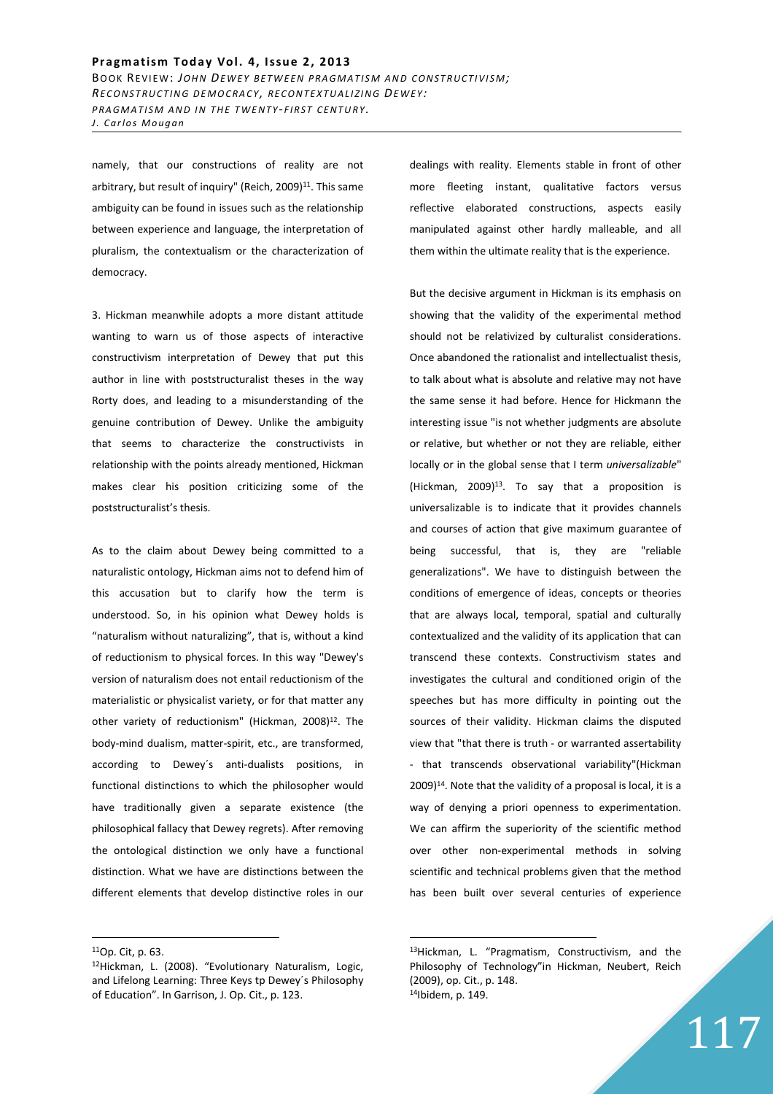namely, that our constructions of reality are not arbitrary, but result of inquiry" (Reich, 2009)<sup>11</sup>. This same ambiguity can be found in issues such as the relationship between experience and language, the interpretation of pluralism, the contextualism or the characterization of democracy.

3. Hickman meanwhile adopts a more distant attitude wanting to warn us of those aspects of interactive constructivism interpretation of Dewey that put this author in line with poststructuralist theses in the way Rorty does, and leading to a misunderstanding of the genuine contribution of Dewey. Unlike the ambiguity that seems to characterize the constructivists in relationship with the points already mentioned, Hickman makes clear his position criticizing some of the poststructuralist's thesis.

As to the claim about Dewey being committed to a naturalistic ontology, Hickman aims not to defend him of this accusation but to clarify how the term is understood. So, in his opinion what Dewey holds is "naturalism without naturalizing", that is, without a kind of reductionism to physical forces. In this way "Dewey's version of naturalism does not entail reductionism of the materialistic or physicalist variety, or for that matter any other variety of reductionism" (Hickman, 2008)<sup>12</sup>. The body-mind dualism, matter-spirit, etc., are transformed, according to Dewey´s anti-dualists positions, in functional distinctions to which the philosopher would have traditionally given a separate existence (the philosophical fallacy that Dewey regrets). After removing the ontological distinction we only have a functional distinction. What we have are distinctions between the different elements that develop distinctive roles in our

 $\overline{a}$ 

dealings with reality. Elements stable in front of other more fleeting instant, qualitative factors versus reflective elaborated constructions, aspects easily manipulated against other hardly malleable, and all them within the ultimate reality that is the experience.

But the decisive argument in Hickman is its emphasis on showing that the validity of the experimental method should not be relativized by culturalist considerations. Once abandoned the rationalist and intellectualist thesis, to talk about what is absolute and relative may not have the same sense it had before. Hence for Hickmann the interesting issue "is not whether judgments are absolute or relative, but whether or not they are reliable, either locally or in the global sense that I term *universalizable*" (Hickman, 2009)<sup>13</sup>. To say that a proposition is universalizable is to indicate that it provides channels and courses of action that give maximum guarantee of being successful, that is, they are "reliable generalizations". We have to distinguish between the conditions of emergence of ideas, concepts or theories that are always local, temporal, spatial and culturally contextualized and the validity of its application that can transcend these contexts. Constructivism states and investigates the cultural and conditioned origin of the speeches but has more difficulty in pointing out the sources of their validity. Hickman claims the disputed view that "that there is truth - or warranted assertability - that transcends observational variability"(Hickman  $2009$ <sup>14</sup>. Note that the validity of a proposal is local, it is a way of denying a priori openness to experimentation. We can affirm the superiority of the scientific method over other non-experimental methods in solving scientific and technical problems given that the method has been built over several centuries of experience

 $\overline{a}$ 

117

<sup>11</sup>Op. Cit, p. 63.

<sup>12</sup>Hickman, L. (2008). "Evolutionary Naturalism, Logic, and Lifelong Learning: Three Keys tp Dewey´s Philosophy of Education". In Garrison, J. Op. Cit., p. 123.

<sup>13</sup>Hickman, L. "Pragmatism, Constructivism, and the Philosophy of Technology"in Hickman, Neubert, Reich (2009), op. Cit., p. 148. 14Ibidem, p. 149.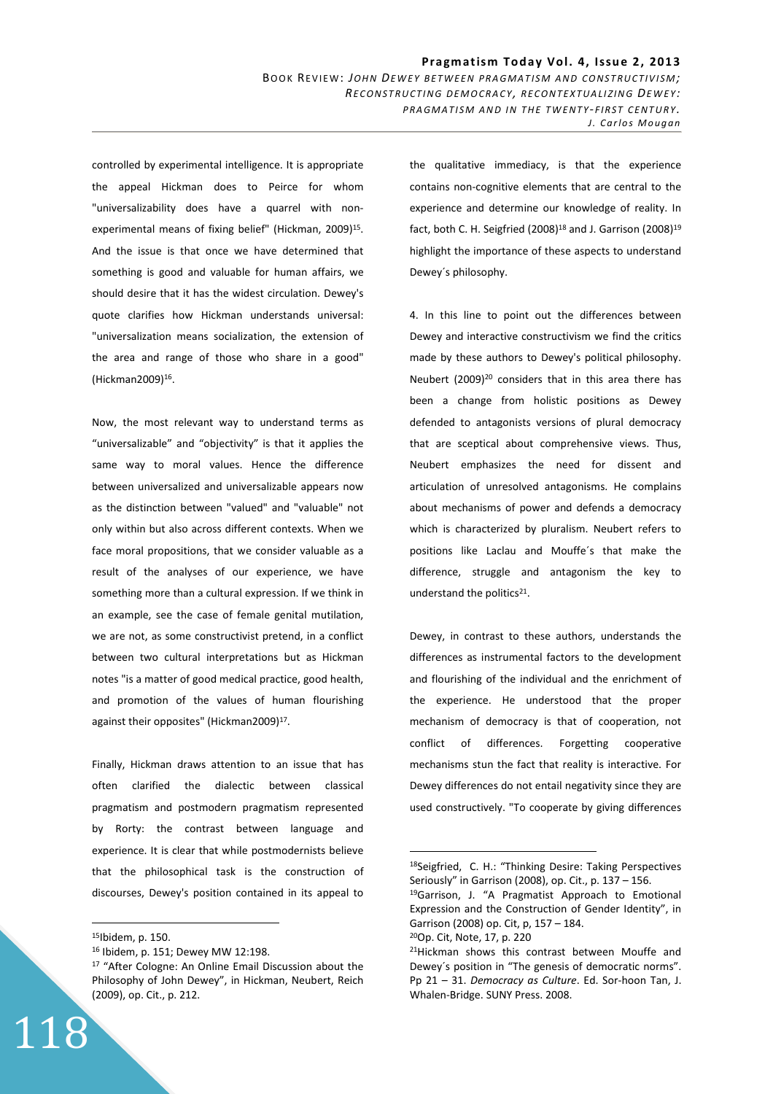controlled by experimental intelligence. It is appropriate the appeal Hickman does to Peirce for whom "universalizability does have a quarrel with nonexperimental means of fixing belief" (Hickman, 2009)<sup>15</sup>. And the issue is that once we have determined that something is good and valuable for human affairs, we should desire that it has the widest circulation. Dewey's quote clarifies how Hickman understands universal: "universalization means socialization, the extension of the area and range of those who share in a good" (Hickman2009)<sup>16</sup> .

Now, the most relevant way to understand terms as "universalizable" and "objectivity" is that it applies the same way to moral values. Hence the difference between universalized and universalizable appears now as the distinction between "valued" and "valuable" not only within but also across different contexts. When we face moral propositions, that we consider valuable as a result of the analyses of our experience, we have something more than a cultural expression. If we think in an example, see the case of female genital mutilation, we are not, as some constructivist pretend, in a conflict between two cultural interpretations but as Hickman notes "is a matter of good medical practice, good health, and promotion of the values of human flourishing against their opposites" (Hickman2009)<sup>17</sup>.

Finally, Hickman draws attention to an issue that has often clarified the dialectic between classical pragmatism and postmodern pragmatism represented by Rorty: the contrast between language and experience. It is clear that while postmodernists believe that the philosophical task is the construction of discourses, Dewey's position contained in its appeal to

<sup>15</sup>Ibidem, p. 150.

 $\overline{a}$ 

118

<sup>16</sup> Ibidem, p. 151; Dewey MW 12:198.

the qualitative immediacy, is that the experience contains non-cognitive elements that are central to the experience and determine our knowledge of reality. In fact, both C. H. Seigfried (2008)<sup>18</sup> and J. Garrison (2008)<sup>19</sup> highlight the importance of these aspects to understand Dewey´s philosophy.

4. In this line to point out the differences between Dewey and interactive constructivism we find the critics made by these authors to Dewey's political philosophy. Neubert (2009)<sup>20</sup> considers that in this area there has been a change from holistic positions as Dewey defended to antagonists versions of plural democracy that are sceptical about comprehensive views. Thus, Neubert emphasizes the need for dissent and articulation of unresolved antagonisms. He complains about mechanisms of power and defends a democracy which is characterized by pluralism. Neubert refers to positions like Laclau and Mouffe´s that make the difference, struggle and antagonism the key to understand the politics<sup>21</sup>.

Dewey, in contrast to these authors, understands the differences as instrumental factors to the development and flourishing of the individual and the enrichment of the experience. He understood that the proper mechanism of democracy is that of cooperation, not conflict of differences. Forgetting cooperative mechanisms stun the fact that reality is interactive. For Dewey differences do not entail negativity since they are used constructively. "To cooperate by giving differences

 $\overline{a}$ 

<sup>17</sup> "After Cologne: An Online Email Discussion about the Philosophy of John Dewey", in Hickman, Neubert, Reich (2009), op. Cit., p. 212.

<sup>18</sup>Seigfried, C. H.: "Thinking Desire: Taking Perspectives Seriously" in Garrison (2008), op. Cit., p. 137 – 156.

<sup>19</sup>Garrison, J. "A Pragmatist Approach to Emotional Expression and the Construction of Gender Identity", in Garrison (2008) op. Cit, p, 157 – 184.

<sup>20</sup>Op. Cit, Note, 17, p. 220

<sup>&</sup>lt;sup>21</sup>Hickman shows this contrast between Mouffe and Dewey´s position in "The genesis of democratic norms". Pp 21 – 31. *Democracy as Culture*. Ed. Sor-hoon Tan, J. Whalen-Bridge. SUNY Press. 2008.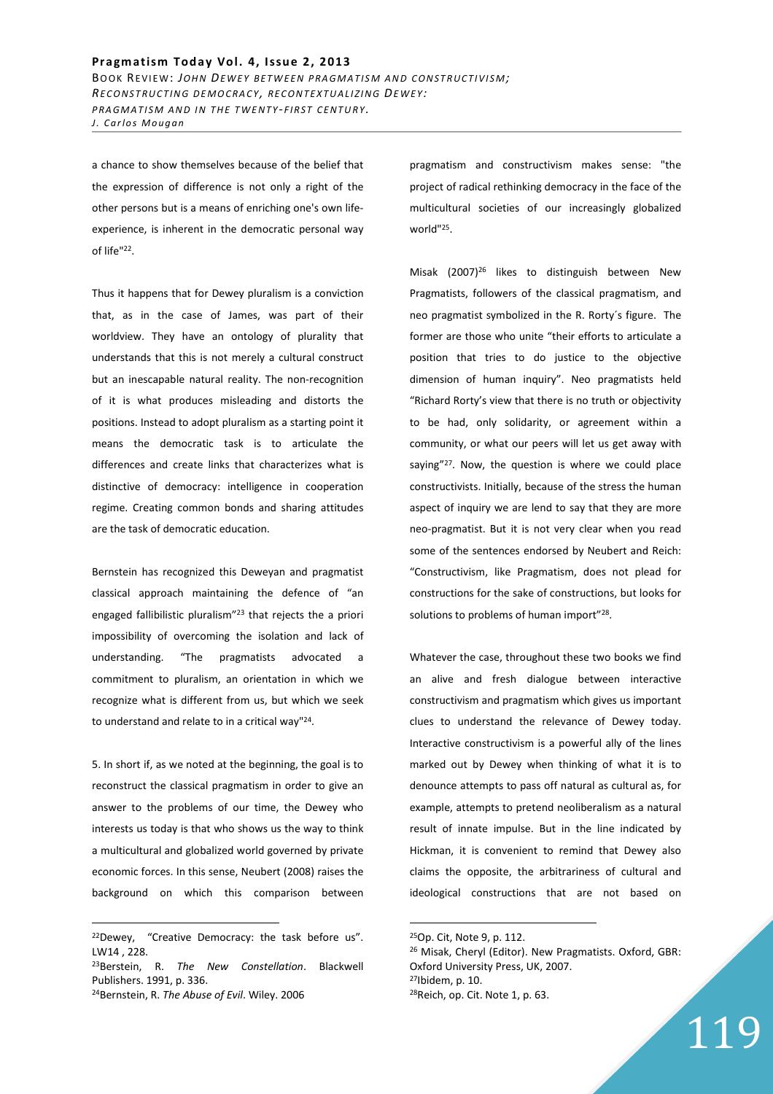## Pragmatism Today Vol. 4, Issue 2, 2013

BOOK REVIEW: JOHN DEWEY BETWEEN PRAGMATISM AND CONSTRUCTIVISM; *RE C O N S T R U C T I N G D E M O C R A C Y , R E C O N T E X T U A L I Z I N G DE W E Y : PRAGMATISM AND IN THE TWENTY-FIRST CENTURY. J. Carlos Mougan* 

a chance to show themselves because of the belief that the expression of difference is not only a right of the other persons but is a means of enriching one's own lifeexperience, is inherent in the democratic personal way of life"<sup>22</sup>.

Thus it happens that for Dewey pluralism is a conviction that, as in the case of James, was part of their worldview. They have an ontology of plurality that understands that this is not merely a cultural construct but an inescapable natural reality. The non-recognition of it is what produces misleading and distorts the positions. Instead to adopt pluralism as a starting point it means the democratic task is to articulate the differences and create links that characterizes what is distinctive of democracy: intelligence in cooperation regime. Creating common bonds and sharing attitudes are the task of democratic education.

Bernstein has recognized this Deweyan and pragmatist classical approach maintaining the defence of "an engaged fallibilistic pluralism"<sup>23</sup> that rejects the a priori impossibility of overcoming the isolation and lack of understanding. "The pragmatists advocated a commitment to pluralism, an orientation in which we recognize what is different from us, but which we seek to understand and relate to in a critical way"<sup>24</sup>.

5. In short if, as we noted at the beginning, the goal is to reconstruct the classical pragmatism in order to give an answer to the problems of our time, the Dewey who interests us today is that who shows us the way to think a multicultural and globalized world governed by private economic forces. In this sense, Neubert (2008) raises the background on which this comparison between

 $\overline{a}$ 

pragmatism and constructivism makes sense: "the project of radical rethinking democracy in the face of the multicultural societies of our increasingly globalized world"<sup>25</sup> .

Misak (2007)<sup>26</sup> likes to distinguish between New Pragmatists, followers of the classical pragmatism, and neo pragmatist symbolized in the R. Rorty´s figure. The former are those who unite "their efforts to articulate a position that tries to do justice to the objective dimension of human inquiry". Neo pragmatists held "Richard Rorty's view that there is no truth or objectivity to be had, only solidarity, or agreement within a community, or what our peers will let us get away with saying"<sup>27</sup>. Now, the question is where we could place constructivists. Initially, because of the stress the human aspect of inquiry we are lend to say that they are more neo-pragmatist. But it is not very clear when you read some of the sentences endorsed by Neubert and Reich: "Constructivism, like Pragmatism, does not plead for constructions for the sake of constructions, but looks for solutions to problems of human import"<sup>28</sup>.

Whatever the case, throughout these two books we find an alive and fresh dialogue between interactive constructivism and pragmatism which gives us important clues to understand the relevance of Dewey today. Interactive constructivism is a powerful ally of the lines marked out by Dewey when thinking of what it is to denounce attempts to pass off natural as cultural as, for example, attempts to pretend neoliberalism as a natural result of innate impulse. But in the line indicated by Hickman, it is convenient to remind that Dewey also claims the opposite, the arbitrariness of cultural and ideological constructions that are not based on

 $\overline{a}$ 

 Misak, Cheryl (Editor). New Pragmatists. Oxford, GBR: Oxford University Press, UK, 2007. Ibidem, p. 10. Reich, op. Cit. Note 1, p. 63.

119

<sup>&</sup>lt;sup>22</sup>Dewey, "Creative Democracy: the task before us". LW14 , 228.

<sup>23</sup>Berstein, R. *The New Constellation*. Blackwell Publishers. 1991, p. 336.

<sup>24</sup>Bernstein, R. *The Abuse of Evil*. Wiley. 2006

<sup>25</sup>Op. Cit, Note 9, p. 112.